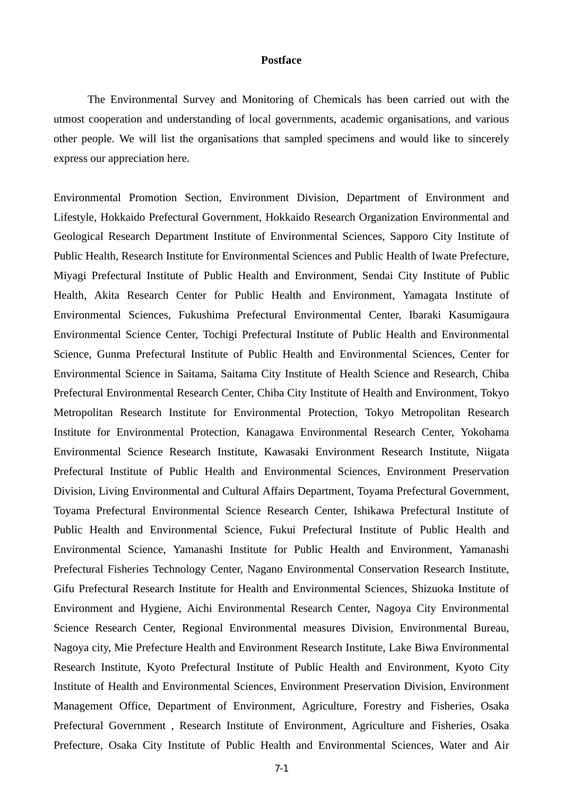## **Postface**

The Environmental Survey and Monitoring of Chemicals has been carried out with the utmost cooperation and understanding of local governments, academic organisations, and various other people. We will list the organisations that sampled specimens and would like to sincerely express our appreciation here.

Environmental Promotion Section, Environment Division, Department of Environment and Lifestyle, Hokkaido Prefectural Government, Hokkaido Research Organization Environmental and Geological Research Department Institute of Environmental Sciences, Sapporo City Institute of Public Health, Research Institute for Environmental Sciences and Public Health of Iwate Prefecture, Miyagi Prefectural Institute of Public Health and Environment, Sendai City Institute of Public Health, Akita Research Center for Public Health and Environment, Yamagata Institute of Environmental Sciences, Fukushima Prefectural Environmental Center, Ibaraki Kasumigaura Environmental Science Center, Tochigi Prefectural Institute of Public Health and Environmental Science, Gunma Prefectural Institute of Public Health and Environmental Sciences, Center for Environmental Science in Saitama, Saitama City Institute of Health Science and Research, Chiba Prefectural Environmental Research Center, Chiba City Institute of Health and Environment, Tokyo Metropolitan Research Institute for Environmental Protection, Tokyo Metropolitan Research Institute for Environmental Protection, Kanagawa Environmental Research Center, Yokohama Environmental Science Research Institute, Kawasaki Environment Research Institute, Niigata Prefectural Institute of Public Health and Environmental Sciences, Environment Preservation Division, Living Environmental and Cultural Affairs Department, Toyama Prefectural Government, Toyama Prefectural Environmental Science Research Center, Ishikawa Prefectural Institute of Public Health and Environmental Science, Fukui Prefectural Institute of Public Health and Environmental Science, Yamanashi Institute for Public Health and Environment, Yamanashi Prefectural Fisheries Technology Center, Nagano Environmental Conservation Research Institute, Gifu Prefectural Research Institute for Health and Environmental Sciences, Shizuoka Institute of Environment and Hygiene, Aichi Environmental Research Center, Nagoya City Environmental Science Research Center, Regional Environmental measures Division, Environmental Bureau, Nagoya city, Mie Prefecture Health and Environment Research Institute, Lake Biwa Environmental Research Institute, Kyoto Prefectural Institute of Public Health and Environment, Kyoto City Institute of Health and Environmental Sciences, Environment Preservation Division, Environment Management Office, Department of Environment, Agriculture, Forestry and Fisheries, Osaka Prefectural Government , Research Institute of Environment, Agriculture and Fisheries, Osaka Prefecture, Osaka City Institute of Public Health and Environmental Sciences, Water and Air